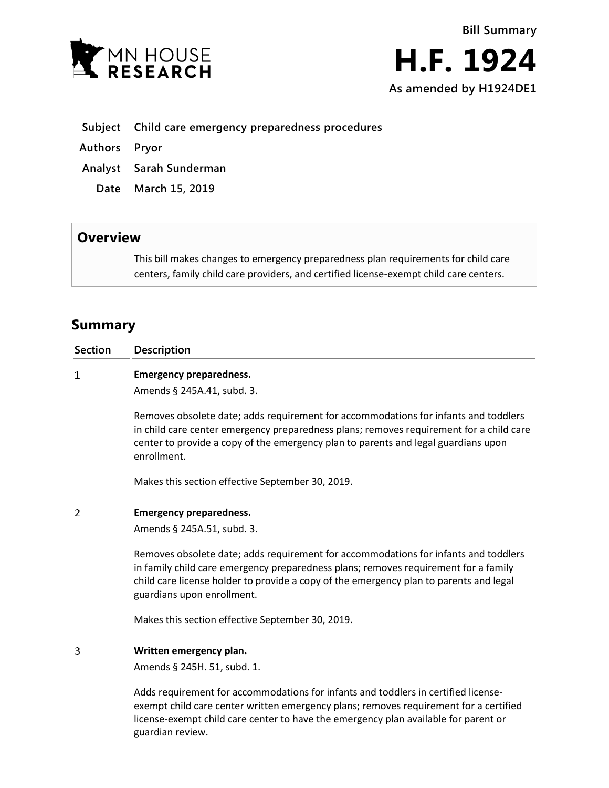



- **Subject Child care emergency preparedness procedures**
- **Authors Pryor**
- **Analyst Sarah Sunderman**
	- **Date March 15, 2019**

## **Overview**

This bill makes changes to emergency preparedness plan requirements for child care centers, family child care providers, and certified license-exempt child care centers.

## **Summary**

| <b>Section</b> | Description                                                                                                                                                                                                                                                                                        |
|----------------|----------------------------------------------------------------------------------------------------------------------------------------------------------------------------------------------------------------------------------------------------------------------------------------------------|
| 1              | <b>Emergency preparedness.</b>                                                                                                                                                                                                                                                                     |
|                | Amends § 245A.41, subd. 3.                                                                                                                                                                                                                                                                         |
|                | Removes obsolete date; adds requirement for accommodations for infants and toddlers<br>in child care center emergency preparedness plans; removes requirement for a child care<br>center to provide a copy of the emergency plan to parents and legal guardians upon<br>enrollment.                |
|                | Makes this section effective September 30, 2019.                                                                                                                                                                                                                                                   |
| 2              | <b>Emergency preparedness.</b>                                                                                                                                                                                                                                                                     |
|                | Amends § 245A.51, subd. 3.                                                                                                                                                                                                                                                                         |
|                | Removes obsolete date; adds requirement for accommodations for infants and toddlers<br>in family child care emergency preparedness plans; removes requirement for a family<br>child care license holder to provide a copy of the emergency plan to parents and legal<br>guardians upon enrollment. |
|                | Makes this section effective September 30, 2019.                                                                                                                                                                                                                                                   |
| 3              | Written emergency plan.<br>Amends § 245H. 51, subd. 1.                                                                                                                                                                                                                                             |
|                | Adds requirement for accommodations for infants and toddlers in certified license-<br>exempt child care center written emergency plans; removes requirement for a certified<br>license-exempt child care center to have the emergency plan available for parent or<br>guardian review.             |